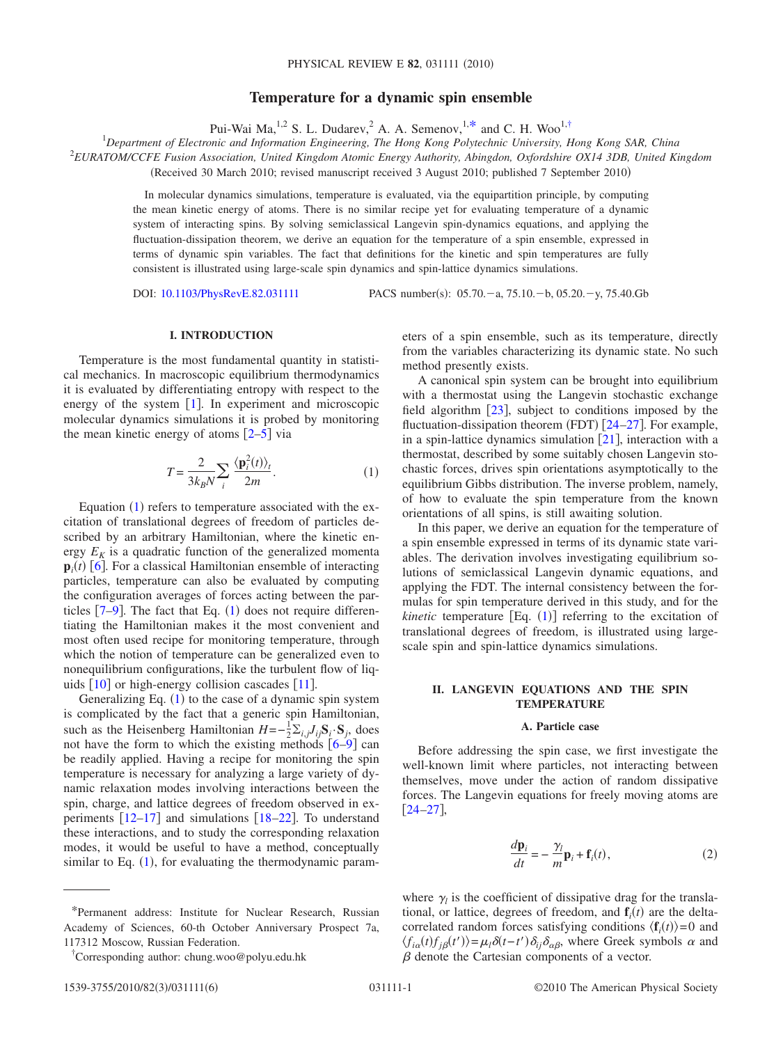# **Temperature for a dynamic spin ensemble**

Pui-Wai Ma,<sup>1,2</sup> S. L. Dudarev, <sup>2</sup> A. A. Semenov, <sup>1[,\\*](#page-0-0)</sup> and C. H. Woo<sup>1[,†](#page-0-1)</sup>

1 *Department of Electronic and Information Engineering, The Hong Kong Polytechnic University, Hong Kong SAR, China* 2 *EURATOM/CCFE Fusion Association, United Kingdom Atomic Energy Authority, Abingdon, Oxfordshire OX14 3DB, United Kingdom*

Received 30 March 2010; revised manuscript received 3 August 2010; published 7 September 2010-

In molecular dynamics simulations, temperature is evaluated, via the equipartition principle, by computing the mean kinetic energy of atoms. There is no similar recipe yet for evaluating temperature of a dynamic system of interacting spins. By solving semiclassical Langevin spin-dynamics equations, and applying the fluctuation-dissipation theorem, we derive an equation for the temperature of a spin ensemble, expressed in terms of dynamic spin variables. The fact that definitions for the kinetic and spin temperatures are fully consistent is illustrated using large-scale spin dynamics and spin-lattice dynamics simulations.

DOI: [10.1103/PhysRevE.82.031111](http://dx.doi.org/10.1103/PhysRevE.82.031111)

PACS number(s):  $05.70.-a$ ,  $75.10.-b$ ,  $05.20.-y$ ,  $75.40.Gb$ 

### **I. INTRODUCTION**

Temperature is the most fundamental quantity in statistical mechanics. In macroscopic equilibrium thermodynamics it is evaluated by differentiating entropy with respect to the energy of the system  $\lceil 1 \rceil$  $\lceil 1 \rceil$  $\lceil 1 \rceil$ . In experiment and microscopic molecular dynamics simulations it is probed by monitoring the mean kinetic energy of atoms  $\lceil 2-5 \rceil$  $\lceil 2-5 \rceil$  $\lceil 2-5 \rceil$  via

$$
T = \frac{2}{3k_B N} \sum_{i} \frac{\langle \mathbf{p}_i^2(t) \rangle_t}{2m}.
$$
 (1)

<span id="page-0-2"></span>Equation  $(1)$  $(1)$  $(1)$  refers to temperature associated with the excitation of translational degrees of freedom of particles described by an arbitrary Hamiltonian, where the kinetic energy  $E_K$  is a quadratic function of the generalized momenta  $\mathbf{p}_i(t)$  [[6](#page-5-3)]. For a classical Hamiltonian ensemble of interacting particles, temperature can also be evaluated by computing the configuration averages of forces acting between the particles  $[7-9]$  $[7-9]$  $[7-9]$ . The fact that Eq.  $(1)$  $(1)$  $(1)$  does not require differentiating the Hamiltonian makes it the most convenient and most often used recipe for monitoring temperature, through which the notion of temperature can be generalized even to nonequilibrium configurations, like the turbulent flow of liquids  $[10]$  $[10]$  $[10]$  or high-energy collision cascades  $[11]$  $[11]$  $[11]$ .

Generalizing Eq.  $(1)$  $(1)$  $(1)$  to the case of a dynamic spin system is complicated by the fact that a generic spin Hamiltonian, such as the Heisenberg Hamiltonian  $H = -\frac{1}{2} \sum_{i,j} J_{ij} \mathbf{S}_i \cdot \mathbf{S}_j$ , does not have the form to which the existing methods  $\lceil 6-9 \rceil$  $\lceil 6-9 \rceil$  $\lceil 6-9 \rceil$  can be readily applied. Having a recipe for monitoring the spin temperature is necessary for analyzing a large variety of dynamic relaxation modes involving interactions between the spin, charge, and lattice degrees of freedom observed in experiments  $[12-17]$  $[12-17]$  $[12-17]$  and simulations  $[18-22]$  $[18-22]$  $[18-22]$ . To understand these interactions, and to study the corresponding relaxation modes, it would be useful to have a method, conceptually similar to Eq.  $(1)$  $(1)$  $(1)$ , for evaluating the thermodynamic parameters of a spin ensemble, such as its temperature, directly from the variables characterizing its dynamic state. No such method presently exists.

A canonical spin system can be brought into equilibrium with a thermostat using the Langevin stochastic exchange field algorithm  $\left[23\right]$  $\left[23\right]$  $\left[23\right]$ , subject to conditions imposed by the fluctuation-dissipation theorem (FDT)  $[24-27]$  $[24-27]$  $[24-27]$ . For example, in a spin-lattice dynamics simulation  $[21]$  $[21]$  $[21]$ , interaction with a thermostat, described by some suitably chosen Langevin stochastic forces, drives spin orientations asymptotically to the equilibrium Gibbs distribution. The inverse problem, namely, of how to evaluate the spin temperature from the known orientations of all spins, is still awaiting solution.

In this paper, we derive an equation for the temperature of a spin ensemble expressed in terms of its dynamic state variables. The derivation involves investigating equilibrium solutions of semiclassical Langevin dynamic equations, and applying the FDT. The internal consistency between the formulas for spin temperature derived in this study, and for the  $kinetic$  temperature  $[Eq. (1)]$  $[Eq. (1)]$  $[Eq. (1)]$  referring to the excitation of translational degrees of freedom, is illustrated using largescale spin and spin-lattice dynamics simulations.

### **II. LANGEVIN EQUATIONS AND THE SPIN TEMPERATURE**

#### **A. Particle case**

Before addressing the spin case, we first investigate the well-known limit where particles, not interacting between themselves, move under the action of random dissipative forces. The Langevin equations for freely moving atoms are  $[24-27]$  $[24-27]$  $[24-27]$ ,

$$
\frac{d\mathbf{p}_i}{dt} = -\frac{\gamma_l}{m}\mathbf{p}_i + \mathbf{f}_i(t),\tag{2}
$$

<span id="page-0-3"></span>where  $\gamma_l$  is the coefficient of dissipative drag for the translational, or lattice, degrees of freedom, and  $f_i(t)$  are the deltacorrelated random forces satisfying conditions  $\langle \mathbf{f}_i(t) \rangle = 0$  and  $\langle f_{i\alpha}(t) f_{j\beta}(t') \rangle = \mu_l \delta(t-t') \delta_{ij} \delta_{\alpha\beta}$ , where Greek symbols  $\alpha$  and  $\beta$  denote the Cartesian components of a vector.

<span id="page-0-0"></span><sup>\*</sup>Permanent address: Institute for Nuclear Research, Russian Academy of Sciences, 60-th October Anniversary Prospect 7a, 117312 Moscow, Russian Federation.

<span id="page-0-1"></span><sup>†</sup> Corresponding author: chung.woo@polyu.edu.hk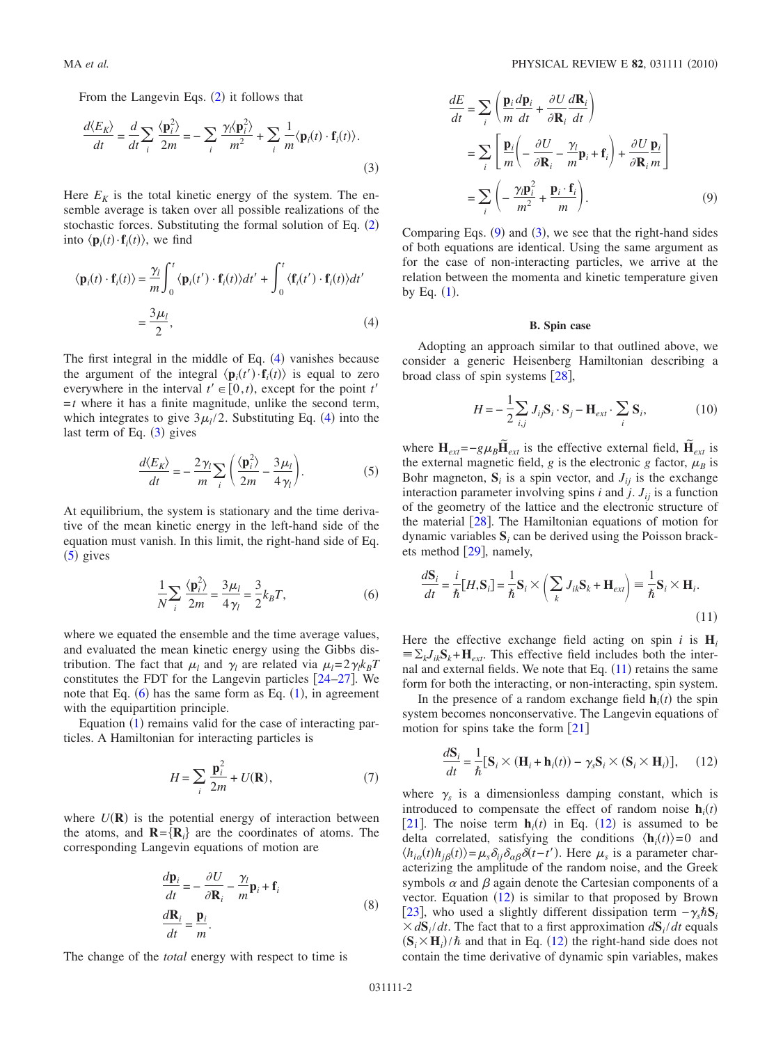From the Langevin Eqs.  $(2)$  $(2)$  $(2)$  it follows that

<span id="page-1-1"></span>
$$
\frac{d\langle E_K \rangle}{dt} = \frac{d}{dt} \sum_i \frac{\langle \mathbf{p}_i^2 \rangle}{2m} = -\sum_i \frac{\gamma_i \langle \mathbf{p}_i^2 \rangle}{m^2} + \sum_i \frac{1}{m} \langle \mathbf{p}_i(t) \cdot \mathbf{f}_i(t) \rangle.
$$
\n(3)

Here  $E_K$  is the total kinetic energy of the system. The ensemble average is taken over all possible realizations of the stochastic forces. Substituting the formal solution of Eq.  $(2)$  $(2)$  $(2)$ into  $\langle \mathbf{p}_i(t) \cdot \mathbf{f}_i(t) \rangle$ , we find

<span id="page-1-0"></span>
$$
\langle \mathbf{p}_i(t) \cdot \mathbf{f}_i(t) \rangle = \frac{\gamma_l}{m} \int_0^t \langle \mathbf{p}_i(t') \cdot \mathbf{f}_i(t) \rangle dt' + \int_0^t \langle \mathbf{f}_i(t') \cdot \mathbf{f}_i(t) \rangle dt'
$$
  
=  $\frac{3\mu_l}{2}$ , (4)

The first integral in the middle of Eq.  $(4)$  $(4)$  $(4)$  vanishes because the argument of the integral  $\langle \mathbf{p}_i(t') \cdot \mathbf{f}_i(t) \rangle$  is equal to zero everywhere in the interval  $t' \in [0, t)$ , except for the point  $t'$  $=t$  where it has a finite magnitude, unlike the second term, which integrates to give  $3\mu_l/2$ . Substituting Eq. ([4](#page-1-0)) into the last term of Eq.  $(3)$  $(3)$  $(3)$  gives

$$
\frac{d\langle E_K \rangle}{dt} = -\frac{2\gamma_l}{m} \sum_i \left( \frac{\langle \mathbf{p}_i^2 \rangle}{2m} - \frac{3\mu_l}{4\gamma_l} \right). \tag{5}
$$

<span id="page-1-2"></span>At equilibrium, the system is stationary and the time derivative of the mean kinetic energy in the left-hand side of the equation must vanish. In this limit, the right-hand side of Eq.  $(5)$  $(5)$  $(5)$  gives

$$
\frac{1}{N} \sum_{i} \frac{\langle \mathbf{p}_i^2 \rangle}{2m} = \frac{3\mu_l}{4\gamma_l} = \frac{3}{2} k_B T,\tag{6}
$$

<span id="page-1-3"></span>where we equated the ensemble and the time average values, and evaluated the mean kinetic energy using the Gibbs distribution. The fact that  $\mu_l$  and  $\gamma_l$  are related via  $\mu_l = 2\gamma_l k_B T$ constitutes the FDT for the Langevin particles  $[24-27]$  $[24-27]$  $[24-27]$ . We note that Eq.  $(6)$  $(6)$  $(6)$  has the same form as Eq.  $(1)$  $(1)$  $(1)$ , in agreement with the equipartition principle.

Equation ([1](#page-0-2)) remains valid for the case of interacting particles. A Hamiltonian for interacting particles is

$$
H = \sum_{i} \frac{\mathbf{p}_i^2}{2m} + U(\mathbf{R}),\tag{7}
$$

<span id="page-1-7"></span>where  $U(\mathbf{R})$  is the potential energy of interaction between the atoms, and  $\mathbf{R} = \{ \mathbf{R}_i \}$  are the coordinates of atoms. The corresponding Langevin equations of motion are

$$
\frac{d\mathbf{p}_i}{dt} = -\frac{\partial U}{\partial \mathbf{R}_i} - \frac{\gamma_l}{m} \mathbf{p}_i + \mathbf{f}_i
$$
\n
$$
\frac{d\mathbf{R}_i}{dt} = \frac{\mathbf{p}_i}{m}.
$$
\n(8)

The change of the *total* energy with respect to time is

<span id="page-1-4"></span>
$$
\frac{dE}{dt} = \sum_{i} \left( \frac{\mathbf{p}_{i}}{m} \frac{d\mathbf{p}_{i}}{dt} + \frac{\partial U}{\partial \mathbf{R}_{i}} \frac{d\mathbf{R}_{i}}{dt} \right)
$$
\n
$$
= \sum_{i} \left[ \frac{\mathbf{p}_{i}}{m} \left( -\frac{\partial U}{\partial \mathbf{R}_{i}} - \frac{\gamma_{l}}{m} \mathbf{p}_{i} + \mathbf{f}_{i} \right) + \frac{\partial U}{\partial \mathbf{R}_{i}} \frac{\mathbf{p}_{i}}{m} \right]
$$
\n
$$
= \sum_{i} \left( -\frac{\gamma_{l} \mathbf{p}_{i}^{2}}{m^{2}} + \frac{\mathbf{p}_{i} \cdot \mathbf{f}_{i}}{m} \right). \tag{9}
$$

Comparing Eqs.  $(9)$  $(9)$  $(9)$  and  $(3)$  $(3)$  $(3)$ , we see that the right-hand sides of both equations are identical. Using the same argument as for the case of non-interacting particles, we arrive at the relation between the momenta and kinetic temperature given by Eq.  $(1)$  $(1)$  $(1)$ .

### **B. Spin case**

Adopting an approach similar to that outlined above, we consider a generic Heisenberg Hamiltonian describing a broad class of spin systems  $[28]$  $[28]$  $[28]$ ,

$$
H = -\frac{1}{2} \sum_{i,j} J_{ij} \mathbf{S}_i \cdot \mathbf{S}_j - \mathbf{H}_{ext} \cdot \sum_i \mathbf{S}_i, \tag{10}
$$

<span id="page-1-8"></span>where  $\mathbf{H}_{ext} = -g\mu_B \tilde{\mathbf{H}}_{ext}$  is the effective external field,  $\tilde{\mathbf{H}}_{ext}$  is the external magnetic field, *g* is the electronic *g* factor,  $\mu_B$  is Bohr magneton,  $S_i$  is a spin vector, and  $J_{ij}$  is the exchange interaction parameter involving spins  $i$  and  $j$ .  $J_{ij}$  is a function of the geometry of the lattice and the electronic structure of the material  $\left[28\right]$  $\left[28\right]$  $\left[28\right]$ . The Hamiltonian equations of motion for dynamic variables  $S_i$  can be derived using the Poisson brack-ets method [[29](#page-5-17)], namely,

<span id="page-1-5"></span>
$$
\frac{d\mathbf{S}_i}{dt} = \frac{i}{\hbar} [H, \mathbf{S}_i] = \frac{1}{\hbar} \mathbf{S}_i \times \left( \sum_k J_{ik} \mathbf{S}_k + \mathbf{H}_{ext} \right) \equiv \frac{1}{\hbar} \mathbf{S}_i \times \mathbf{H}_i.
$$
\n(11)

Here the effective exchange field acting on spin *i* is  $H_i$  $\equiv \sum_k J_{ik} S_k + H_{ext}$ . This effective field includes both the internal and external fields. We note that Eq.  $(11)$  $(11)$  $(11)$  retains the same form for both the interacting, or non-interacting, spin system.

In the presence of a random exchange field  $\mathbf{h}_i(t)$  the spin system becomes nonconservative. The Langevin equations of motion for spins take the form  $[21]$  $[21]$  $[21]$ 

<span id="page-1-6"></span>
$$
\frac{d\mathbf{S}_i}{dt} = \frac{1}{\hbar} [\mathbf{S}_i \times (\mathbf{H}_i + \mathbf{h}_i(t)) - \gamma_s \mathbf{S}_i \times (\mathbf{S}_i \times \mathbf{H}_i)], \quad (12)
$$

where  $\gamma_s$  is a dimensionless damping constant, which is introduced to compensate the effect of random noise  $\mathbf{h}_i(t)$ [[21](#page-5-15)]. The noise term  $h_i(t)$  in Eq. ([12](#page-1-6)) is assumed to be delta correlated, satisfying the conditions  $\langle \mathbf{h}_i(t) \rangle = 0$  and  $\langle h_{i\alpha}(t)h_{j\beta}(t)\rangle = \mu_s \delta_{ij} \delta_{\alpha\beta} \delta(t-t')$ . Here  $\mu_s$  is a parameter characterizing the amplitude of the random noise, and the Greek symbols  $\alpha$  and  $\beta$  again denote the Cartesian components of a vector. Equation  $(12)$  $(12)$  $(12)$  is similar to that proposed by Brown [[23](#page-5-12)], who used a slightly different dissipation term  $-\gamma_s \hbar S_i$  $\times d\mathbf{S}_i/dt$ . The fact that to a first approximation  $d\mathbf{S}_i/dt$  equals  $(\mathbf{S}_i \times \mathbf{H}_i)/\hbar$  and that in Eq. ([12](#page-1-6)) the right-hand side does not contain the time derivative of dynamic spin variables, makes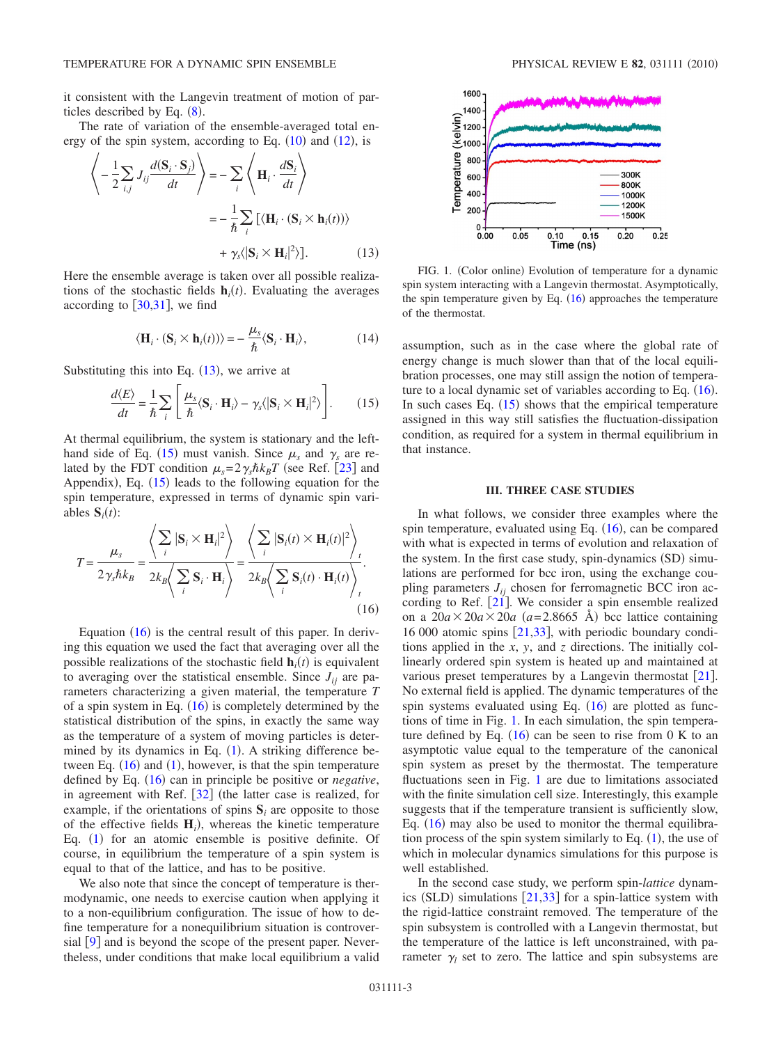it consistent with the Langevin treatment of motion of particles described by Eq.  $(8)$  $(8)$  $(8)$ .

The rate of variation of the ensemble-averaged total energy of the spin system, according to Eq.  $(10)$  $(10)$  $(10)$  and  $(12)$  $(12)$  $(12)$ , is

<span id="page-2-0"></span>
$$
\left\langle -\frac{1}{2} \sum_{i,j} J_{ij} \frac{d(\mathbf{S}_i \cdot \mathbf{S}_j)}{dt} \right\rangle = -\sum_{i} \left\langle \mathbf{H}_i \cdot \frac{d\mathbf{S}_i}{dt} \right\rangle
$$

$$
= -\frac{1}{\hbar} \sum_{i} \left[ \langle \mathbf{H}_i \cdot (\mathbf{S}_i \times \mathbf{h}_i(t)) \rangle + \gamma_s \langle |\mathbf{S}_i \times \mathbf{H}_i|^2 \rangle \right]. \tag{13}
$$

Here the ensemble average is taken over all possible realizations of the stochastic fields  $\mathbf{h}_i(t)$ . Evaluating the averages according to  $\left[30,31\right]$  $\left[30,31\right]$  $\left[30,31\right]$  $\left[30,31\right]$ , we find

$$
\langle \mathbf{H}_i \cdot (\mathbf{S}_i \times \mathbf{h}_i(t)) \rangle = -\frac{\mu_s}{\hbar} \langle \mathbf{S}_i \cdot \mathbf{H}_i \rangle, \tag{14}
$$

<span id="page-2-1"></span>Substituting this into Eq.  $(13)$  $(13)$  $(13)$ , we arrive at

$$
\frac{d\langle E\rangle}{dt} = \frac{1}{\hbar} \sum_{i} \left[ \frac{\mu_s}{\hbar} \langle \mathbf{S}_i \cdot \mathbf{H}_i \rangle - \gamma_s \langle |\mathbf{S}_i \times \mathbf{H}_i|^2 \rangle \right].
$$
 (15)

At thermal equilibrium, the system is stationary and the left-hand side of Eq. ([15](#page-2-1)) must vanish. Since  $\mu_s$  and  $\gamma_s$  are related by the FDT condition  $\mu_s = 2\gamma_s \hbar k_B T$  (see Ref. [[23](#page-5-12)] and Appendix), Eq.  $(15)$  $(15)$  $(15)$  leads to the following equation for the spin temperature, expressed in terms of dynamic spin variables  $S_i(t)$ :

<span id="page-2-2"></span>
$$
T = \frac{\mu_s}{2\gamma_s \hbar k_B} = \frac{\left\langle \sum_i |\mathbf{S}_i \times \mathbf{H}_i|^2 \right\rangle}{2k_B \left\langle \sum_i \mathbf{S}_i \cdot \mathbf{H}_i \right\rangle} = \frac{\left\langle \sum_i |\mathbf{S}_i(t) \times \mathbf{H}_i(t)|^2 \right\rangle_t}{2k_B \left\langle \sum_i \mathbf{S}_i(t) \cdot \mathbf{H}_i(t) \right\rangle_t}.
$$
\n(16)

Equation  $(16)$  $(16)$  $(16)$  is the central result of this paper. In deriving this equation we used the fact that averaging over all the possible realizations of the stochastic field  $\mathbf{h}_i(t)$  is equivalent to averaging over the statistical ensemble. Since  $J_{ii}$  are parameters characterizing a given material, the temperature *T* of a spin system in Eq.  $(16)$  $(16)$  $(16)$  is completely determined by the statistical distribution of the spins, in exactly the same way as the temperature of a system of moving particles is determined by its dynamics in Eq.  $(1)$  $(1)$  $(1)$ . A striking difference between Eq.  $(16)$  $(16)$  $(16)$  and  $(1)$  $(1)$  $(1)$ , however, is that the spin temperature defined by Eq. ([16](#page-2-2)) can in principle be positive or *negative*, in agreement with Ref.  $[32]$  $[32]$  $[32]$  (the latter case is realized, for example, if the orientations of spins **S***<sup>i</sup>* are opposite to those of the effective fields  $H_i$ ), whereas the kinetic temperature Eq. ([1](#page-0-2)) for an atomic ensemble is positive definite. Of course, in equilibrium the temperature of a spin system is equal to that of the lattice, and has to be positive.

We also note that since the concept of temperature is thermodynamic, one needs to exercise caution when applying it to a non-equilibrium configuration. The issue of how to define temperature for a nonequilibrium situation is controversial  $\lceil 9 \rceil$  $\lceil 9 \rceil$  $\lceil 9 \rceil$  and is beyond the scope of the present paper. Nevertheless, under conditions that make local equilibrium a valid

<span id="page-2-3"></span>

FIG. 1. (Color online) Evolution of temperature for a dynamic spin system interacting with a Langevin thermostat. Asymptotically, the spin temperature given by Eq.  $(16)$  $(16)$  $(16)$  approaches the temperature of the thermostat.

assumption, such as in the case where the global rate of energy change is much slower than that of the local equilibration processes, one may still assign the notion of tempera-ture to a local dynamic set of variables according to Eq. ([16](#page-2-2)). In such cases Eq.  $(15)$  $(15)$  $(15)$  shows that the empirical temperature assigned in this way still satisfies the fluctuation-dissipation condition, as required for a system in thermal equilibrium in that instance.

#### **III. THREE CASE STUDIES**

In what follows, we consider three examples where the spin temperature, evaluated using Eq.  $(16)$  $(16)$  $(16)$ , can be compared with what is expected in terms of evolution and relaxation of the system. In the first case study, spin-dynamics (SD) simulations are performed for bcc iron, using the exchange coupling parameters  $J_{ii}$  chosen for ferromagnetic BCC iron according to Ref.  $\lceil 21 \rceil$  $\lceil 21 \rceil$  $\lceil 21 \rceil$ . We consider a spin ensemble realized on a  $20a \times 20a \times 20a$  ( $a=2.8665$  Å) bcc lattice containing 16 000 atomic spins  $[21,33]$  $[21,33]$  $[21,33]$  $[21,33]$ , with periodic boundary conditions applied in the *x*, *y*, and *z* directions. The initially collinearly ordered spin system is heated up and maintained at various preset temperatures by a Langevin thermostat  $[21]$  $[21]$  $[21]$ . No external field is applied. The dynamic temperatures of the spin systems evaluated using Eq.  $(16)$  $(16)$  $(16)$  are plotted as functions of time in Fig. [1.](#page-2-3) In each simulation, the spin temperature defined by Eq.  $(16)$  $(16)$  $(16)$  can be seen to rise from 0 K to an asymptotic value equal to the temperature of the canonical spin system as preset by the thermostat. The temperature fluctuations seen in Fig. [1](#page-2-3) are due to limitations associated with the finite simulation cell size. Interestingly, this example suggests that if the temperature transient is sufficiently slow, Eq.  $(16)$  $(16)$  $(16)$  may also be used to monitor the thermal equilibration process of the spin system similarly to Eq.  $(1)$  $(1)$  $(1)$ , the use of which in molecular dynamics simulations for this purpose is well established.

In the second case study, we perform spin-*lattice* dynamics (SLD) simulations  $[21,33]$  $[21,33]$  $[21,33]$  $[21,33]$  for a spin-lattice system with the rigid-lattice constraint removed. The temperature of the spin subsystem is controlled with a Langevin thermostat, but the temperature of the lattice is left unconstrained, with parameter  $\gamma_l$  set to zero. The lattice and spin subsystems are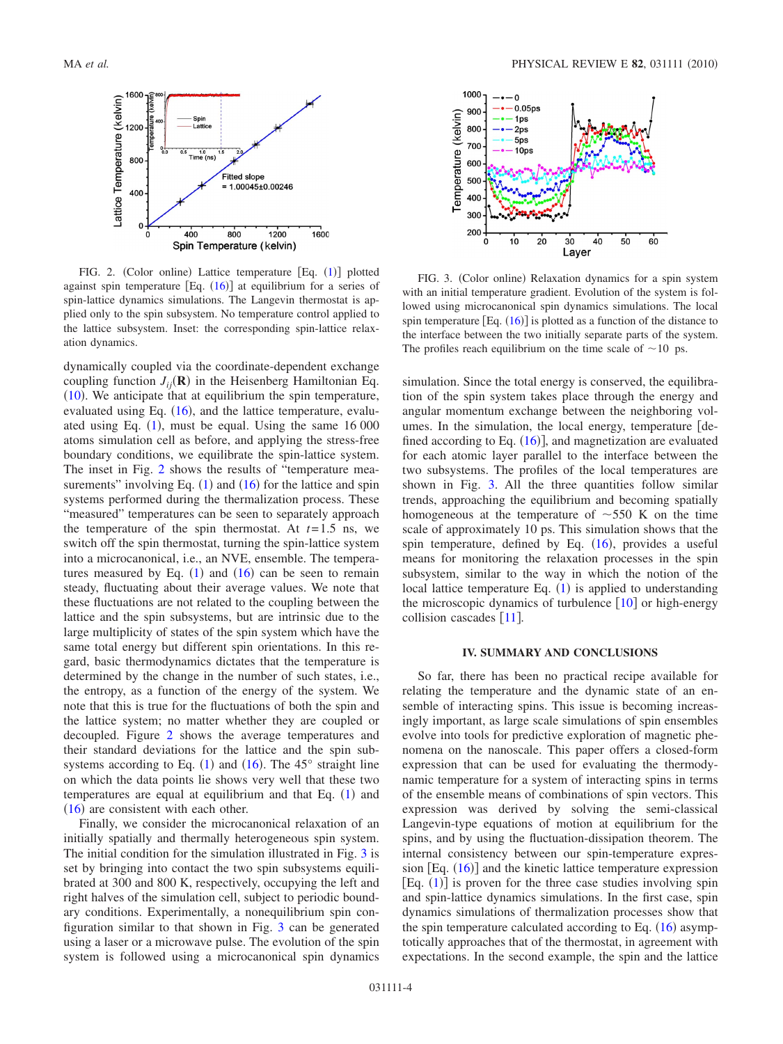<span id="page-3-0"></span>

FIG. 2. (Color online) Lattice temperature  $[Eq. (1)]$  $[Eq. (1)]$  $[Eq. (1)]$  plotted against spin temperature  $[Eq. (16)]$  $[Eq. (16)]$  $[Eq. (16)]$  at equilibrium for a series of spin-lattice dynamics simulations. The Langevin thermostat is applied only to the spin subsystem. No temperature control applied to the lattice subsystem. Inset: the corresponding spin-lattice relaxation dynamics.

dynamically coupled via the coordinate-dependent exchange coupling function  $J_{ij}(\mathbf{R})$  in the Heisenberg Hamiltonian Eq.  $(10)$  $(10)$  $(10)$ . We anticipate that at equilibrium the spin temperature, evaluated using Eq.  $(16)$  $(16)$  $(16)$ , and the lattice temperature, evaluated using Eq.  $(1)$  $(1)$  $(1)$ , must be equal. Using the same 16 000 atoms simulation cell as before, and applying the stress-free boundary conditions, we equilibrate the spin-lattice system. The inset in Fig. [2](#page-3-0) shows the results of "temperature measurements" involving Eq.  $(1)$  $(1)$  $(1)$  and  $(16)$  $(16)$  $(16)$  for the lattice and spin systems performed during the thermalization process. These "measured" temperatures can be seen to separately approach the temperature of the spin thermostat. At  $t=1.5$  ns, we switch off the spin thermostat, turning the spin-lattice system into a microcanonical, i.e., an NVE, ensemble. The temperatures measured by Eq.  $(1)$  $(1)$  $(1)$  and  $(16)$  $(16)$  $(16)$  can be seen to remain steady, fluctuating about their average values. We note that these fluctuations are not related to the coupling between the lattice and the spin subsystems, but are intrinsic due to the large multiplicity of states of the spin system which have the same total energy but different spin orientations. In this regard, basic thermodynamics dictates that the temperature is determined by the change in the number of such states, i.e., the entropy, as a function of the energy of the system. We note that this is true for the fluctuations of both the spin and the lattice system; no matter whether they are coupled or decoupled. Figure [2](#page-3-0) shows the average temperatures and their standard deviations for the lattice and the spin subsystems according to Eq.  $(1)$  $(1)$  $(1)$  and  $(16)$  $(16)$  $(16)$ . The 45° straight line on which the data points lie shows very well that these two temperatures are equal at equilibrium and that Eq.  $(1)$  $(1)$  $(1)$  and  $(16)$  $(16)$  $(16)$  are consistent with each other.

Finally, we consider the microcanonical relaxation of an initially spatially and thermally heterogeneous spin system. The initial condition for the simulation illustrated in Fig. [3](#page-3-1) is set by bringing into contact the two spin subsystems equilibrated at 300 and 800 K, respectively, occupying the left and right halves of the simulation cell, subject to periodic boundary conditions. Experimentally, a nonequilibrium spin configuration similar to that shown in Fig. [3](#page-3-1) can be generated using a laser or a microwave pulse. The evolution of the spin system is followed using a microcanonical spin dynamics

<span id="page-3-1"></span>

FIG. 3. (Color online) Relaxation dynamics for a spin system with an initial temperature gradient. Evolution of the system is followed using microcanonical spin dynamics simulations. The local spin temperature  $[Eq. (16)]$  $[Eq. (16)]$  $[Eq. (16)]$  is plotted as a function of the distance to the interface between the two initially separate parts of the system. The profiles reach equilibrium on the time scale of  $\sim$ 10 ps.

simulation. Since the total energy is conserved, the equilibration of the spin system takes place through the energy and angular momentum exchange between the neighboring volumes. In the simulation, the local energy, temperature  $\lceil$  defined according to Eq.  $(16)$  $(16)$  $(16)$ ], and magnetization are evaluated for each atomic layer parallel to the interface between the two subsystems. The profiles of the local temperatures are shown in Fig. [3.](#page-3-1) All the three quantities follow similar trends, approaching the equilibrium and becoming spatially homogeneous at the temperature of  $\sim$  550 K on the time scale of approximately 10 ps. This simulation shows that the spin temperature, defined by Eq.  $(16)$  $(16)$  $(16)$ , provides a useful means for monitoring the relaxation processes in the spin subsystem, similar to the way in which the notion of the local lattice temperature Eq.  $(1)$  $(1)$  $(1)$  is applied to understanding the microscopic dynamics of turbulence  $[10]$  $[10]$  $[10]$  or high-energy collision cascades  $[11]$  $[11]$  $[11]$ .

#### **IV. SUMMARY AND CONCLUSIONS**

So far, there has been no practical recipe available for relating the temperature and the dynamic state of an ensemble of interacting spins. This issue is becoming increasingly important, as large scale simulations of spin ensembles evolve into tools for predictive exploration of magnetic phenomena on the nanoscale. This paper offers a closed-form expression that can be used for evaluating the thermodynamic temperature for a system of interacting spins in terms of the ensemble means of combinations of spin vectors. This expression was derived by solving the semi-classical Langevin-type equations of motion at equilibrium for the spins, and by using the fluctuation-dissipation theorem. The internal consistency between our spin-temperature expres-sion [Eq. ([16](#page-2-2))] and the kinetic lattice temperature expression  $[Eq. (1)]$  $[Eq. (1)]$  $[Eq. (1)]$  is proven for the three case studies involving spin and spin-lattice dynamics simulations. In the first case, spin dynamics simulations of thermalization processes show that the spin temperature calculated according to Eq.  $(16)$  $(16)$  $(16)$  asymptotically approaches that of the thermostat, in agreement with expectations. In the second example, the spin and the lattice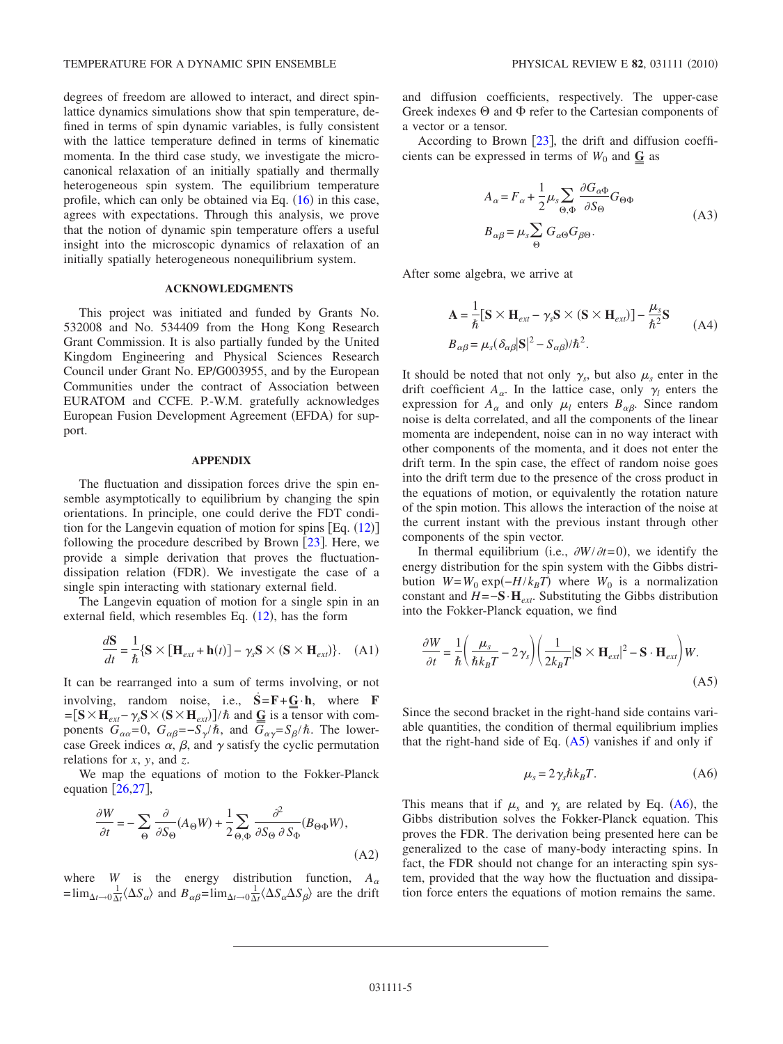degrees of freedom are allowed to interact, and direct spinlattice dynamics simulations show that spin temperature, defined in terms of spin dynamic variables, is fully consistent with the lattice temperature defined in terms of kinematic momenta. In the third case study, we investigate the microcanonical relaxation of an initially spatially and thermally heterogeneous spin system. The equilibrium temperature profile, which can only be obtained via Eq.  $(16)$  $(16)$  $(16)$  in this case, agrees with expectations. Through this analysis, we prove that the notion of dynamic spin temperature offers a useful insight into the microscopic dynamics of relaxation of an initially spatially heterogeneous nonequilibrium system.

## **ACKNOWLEDGMENTS**

This project was initiated and funded by Grants No. 532008 and No. 534409 from the Hong Kong Research Grant Commission. It is also partially funded by the United Kingdom Engineering and Physical Sciences Research Council under Grant No. EP/G003955, and by the European Communities under the contract of Association between EURATOM and CCFE. P.-W.M. gratefully acknowledges European Fusion Development Agreement (EFDA) for support.

#### **APPENDIX**

The fluctuation and dissipation forces drive the spin ensemble asymptotically to equilibrium by changing the spin orientations. In principle, one could derive the FDT condition for the Langevin equation of motion for spins  $[Eq. (12)]$  $[Eq. (12)]$  $[Eq. (12)]$ following the procedure described by Brown  $[23]$  $[23]$  $[23]$ . Here, we provide a simple derivation that proves the fluctuationdissipation relation (FDR). We investigate the case of a single spin interacting with stationary external field.

The Langevin equation of motion for a single spin in an external field, which resembles Eq.  $(12)$  $(12)$  $(12)$ , has the form

$$
\frac{d\mathbf{S}}{dt} = \frac{1}{\hbar} \{ \mathbf{S} \times [\mathbf{H}_{ext} + \mathbf{h}(t)] - \gamma_s \mathbf{S} \times (\mathbf{S} \times \mathbf{H}_{ext}) \}. \quad (A1)
$$

It can be rearranged into a sum of terms involving, or not involving, random noise, i.e.,  $\vec{S} = \vec{F} + \vec{G} \cdot \vec{h}$ , where **F**<br>  $-\vec{S} \times \vec{H} = \gamma \vec{S} \times (\vec{S} \times \vec{H})$  lth and G is a tensor with com- $=\left[\mathbf{S} \times \mathbf{H}_{ext}-\gamma_s \mathbf{S} \times (\mathbf{S} \times \mathbf{H}_{ext})\right]/\hbar$  and  $\overline{\mathbf{G}}$  is a tensor with com-<br>popents  $G = 0$ ,  $G = -S/\hbar$  and  $\overline{G} = S/\hbar$ . The lowerponents  $G_{\alpha\alpha} = 0$ ,  $G_{\alpha\beta} = -S_{\gamma}/\hbar$ , and  $G_{\alpha\gamma} = S_{\beta}/\hbar$ . The lowercase Greek indices  $\alpha$ ,  $\beta$ , and  $\gamma$  satisfy the cyclic permutation relations for *x*, *y*, and *z*.

We map the equations of motion to the Fokker-Planck equation  $[26,27]$  $[26,27]$  $[26,27]$  $[26,27]$ ,

$$
\frac{\partial W}{\partial t} = -\sum_{\Theta} \frac{\partial}{\partial S_{\Theta}} (A_{\Theta} W) + \frac{1}{2} \sum_{\Theta, \Phi} \frac{\partial^2}{\partial S_{\Theta} \partial S_{\Phi}} (B_{\Theta \Phi} W),\tag{A2}
$$

where *W* is the energy distribution function,  $A_{\alpha}$  $=\lim_{\Delta t \to 0} \frac{1}{\Delta t} \langle \Delta S_{\alpha} \rangle$  and  $B_{\alpha\beta} = \lim_{\Delta t \to 0} \frac{1}{\Delta t} \langle \Delta S_{\alpha} \Delta S_{\beta} \rangle$  are the drift

and diffusion coefficients, respectively. The upper-case Greek indexes  $\Theta$  and  $\Phi$  refer to the Cartesian components of a vector or a tensor.

According to Brown  $[23]$  $[23]$  $[23]$ , the drift and diffusion coefficients can be expressed in terms of  $W_0$  and  $\overline{G}$  as

$$
A_{\alpha} = F_{\alpha} + \frac{1}{2} \mu_{s} \sum_{\Theta, \Phi} \frac{\partial G_{\alpha \Phi}}{\partial S_{\Theta}} G_{\Theta \Phi}
$$
  
\n
$$
B_{\alpha \beta} = \mu_{s} \sum_{\Theta} G_{\alpha \Theta} G_{\beta \Theta}.
$$
\n(A3)

After some algebra, we arrive at

$$
\mathbf{A} = \frac{1}{\hbar} [\mathbf{S} \times \mathbf{H}_{ext} - \gamma_s \mathbf{S} \times (\mathbf{S} \times \mathbf{H}_{ext})] - \frac{\mu_s}{\hbar^2} \mathbf{S}
$$
  
\n
$$
B_{\alpha\beta} = \mu_s (\delta_{\alpha\beta} |\mathbf{S}|^2 - S_{\alpha\beta})/\hbar^2.
$$
 (A4)

It should be noted that not only  $\gamma_s$ , but also  $\mu_s$  enter in the drift coefficient  $A_{\alpha}$ . In the lattice case, only  $\gamma_l$  enters the expression for  $A_{\alpha}$  and only  $\mu_l$  enters  $B_{\alpha\beta}$ . Since random noise is delta correlated, and all the components of the linear momenta are independent, noise can in no way interact with other components of the momenta, and it does not enter the drift term. In the spin case, the effect of random noise goes into the drift term due to the presence of the cross product in the equations of motion, or equivalently the rotation nature of the spin motion. This allows the interaction of the noise at the current instant with the previous instant through other components of the spin vector.

In thermal equilibrium (i.e.,  $\partial W / \partial t = 0$ ), we identify the energy distribution for the spin system with the Gibbs distribution  $W = W_0 \exp(-H/k_B T)$  where  $W_0$  is a normalization constant and  $H = -S \cdot H_{ext}$ . Substituting the Gibbs distribution into the Fokker-Planck equation, we find

<span id="page-4-0"></span>
$$
\frac{\partial W}{\partial t} = \frac{1}{\hbar} \left( \frac{\mu_s}{\hbar k_B T} - 2 \gamma_s \right) \left( \frac{1}{2k_B T} |\mathbf{S} \times \mathbf{H}_{ext}|^2 - \mathbf{S} \cdot \mathbf{H}_{ext} \right) W.
$$
\n(A5)

Since the second bracket in the right-hand side contains variable quantities, the condition of thermal equilibrium implies that the right-hand side of Eq.  $(A5)$  $(A5)$  $(A5)$  vanishes if and only if

$$
\mu_s = 2 \gamma_s \hbar k_B T. \tag{A6}
$$

<span id="page-4-1"></span>This means that if  $\mu_s$  and  $\gamma_s$  are related by Eq. ([A6](#page-4-1)), the Gibbs distribution solves the Fokker-Planck equation. This proves the FDR. The derivation being presented here can be generalized to the case of many-body interacting spins. In fact, the FDR should not change for an interacting spin system, provided that the way how the fluctuation and dissipation force enters the equations of motion remains the same.